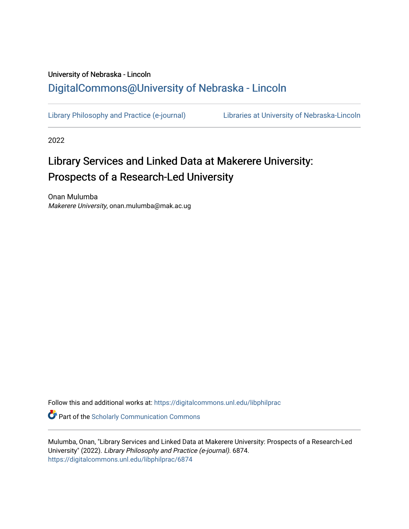## University of Nebraska - Lincoln [DigitalCommons@University of Nebraska - Lincoln](https://digitalcommons.unl.edu/)

[Library Philosophy and Practice \(e-journal\)](https://digitalcommons.unl.edu/libphilprac) [Libraries at University of Nebraska-Lincoln](https://digitalcommons.unl.edu/libraries) 

2022

# Library Services and Linked Data at Makerere University: Prospects of a Research-Led University

Onan Mulumba Makerere University, onan.mulumba@mak.ac.ug

Follow this and additional works at: [https://digitalcommons.unl.edu/libphilprac](https://digitalcommons.unl.edu/libphilprac?utm_source=digitalcommons.unl.edu%2Flibphilprac%2F6874&utm_medium=PDF&utm_campaign=PDFCoverPages) 

**C** Part of the Scholarly Communication Commons

Mulumba, Onan, "Library Services and Linked Data at Makerere University: Prospects of a Research-Led University" (2022). Library Philosophy and Practice (e-journal). 6874. [https://digitalcommons.unl.edu/libphilprac/6874](https://digitalcommons.unl.edu/libphilprac/6874?utm_source=digitalcommons.unl.edu%2Flibphilprac%2F6874&utm_medium=PDF&utm_campaign=PDFCoverPages)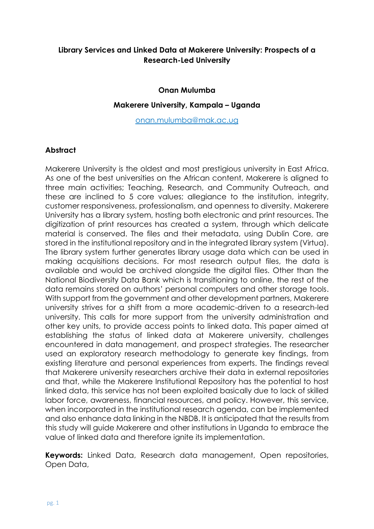## **Library Services and Linked Data at Makerere University: Prospects of a Research-Led University**

#### **Onan Mulumba**

#### **Makerere University, Kampala – Uganda**

onan[.mulumba@mak.ac.ug](mailto:mulumba@mak.ac.ug)

#### **Abstract**

Makerere University is the oldest and most prestigious university in East Africa. As one of the best universities on the African content, Makerere is aligned to three main activities; Teaching, Research, and Community Outreach, and these are inclined to 5 core values; allegiance to the institution, integrity, customer responsiveness, professionalism, and openness to diversity. Makerere University has a library system, hosting both electronic and print resources. The digitization of print resources has created a system, through which delicate material is conserved. The files and their metadata, using Dublin Core, are stored in the institutional repository and in the integrated library system (Virtua). The library system further generates library usage data which can be used in making acquisitions decisions. For most research output files, the data is available and would be archived alongside the digital files. Other than the National Biodiversity Data Bank which is transitioning to online, the rest of the data remains stored on authors' personal computers and other storage tools. With support from the government and other development partners, Makerere university strives for a shift from a more academic-driven to a research-led university. This calls for more support from the university administration and other key units, to provide access points to linked data. This paper aimed at establishing the status of linked data at Makerere university, challenges encountered in data management, and prospect strategies. The researcher used an exploratory research methodology to generate key findings, from existing literature and personal experiences from experts. The findings reveal that Makerere university researchers archive their data in external repositories and that, while the Makerere Institutional Repository has the potential to host linked data, this service has not been exploited basically due to lack of skilled labor force, awareness, financial resources, and policy. However, this service, when incorporated in the institutional research agenda, can be implemented and also enhance data linking in the NBDB. It is anticipated that the results from this study will guide Makerere and other institutions in Uganda to embrace the value of linked data and therefore ignite its implementation.

**Keywords:** Linked Data, Research data management, Open repositories, Open Data,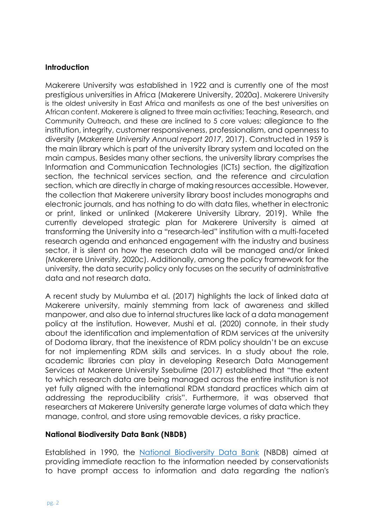#### **Introduction**

Makerere University was established in 1922 and is currently one of the most prestigious universities in Africa (Makerere University, 2020a). Makerere University is the oldest university in East Africa and manifests as one of the best universities on African content. Makerere is aligned to three main activities; Teaching, Research, and Community Outreach, and these are inclined to 5 core values; allegiance to the institution, integrity, customer responsiveness, professionalism, and openness to diversity (*Makerere University Annual report 2017*, 2017). Constructed in 1959 is the main library which is part of the university library system and located on the main campus. Besides many other sections, the university library comprises the Information and Communication Technologies (ICTs) section, the digitization section, the technical services section, and the reference and circulation section, which are directly in charge of making resources accessible. However, the collection that Makerere university library boost includes monographs and electronic journals, and has nothing to do with data files, whether in electronic or print, linked or unlinked (Makerere University Library, 2019). While the currently developed strategic plan for Makerere University is aimed at transforming the University into a "research-led" institution with a multi-faceted research agenda and enhanced engagement with the industry and business sector, it is silent on how the research data will be managed and/or linked (Makerere University, 2020c). Additionally, among the policy framework for the university, the data security policy only focuses on the security of administrative data and not research data.

A recent study by Mulumba et al. (2017) highlights the lack of linked data at Makerere university, mainly stemming from lack of awareness and skilled manpower, and also due to internal structures like lack of a data management policy at the institution. However, Mushi et al. (2020) connote, in their study about the identification and implementation of RDM services at the university of Dodoma library, that the inexistence of RDM policy shouldn't be an excuse for not implementing RDM skills and services. In a study about the role, academic libraries can play in developing Research Data Management Services at Makerere University Ssebulime (2017) established that "the extent to which research data are being managed across the entire institution is not yet fully aligned with the international RDM standard practices which aim at addressing the reproducibility crisis". Furthermore, it was observed that researchers at Makerere University generate large volumes of data which they manage, control, and store using removable devices, a risky practice.

#### **National Biodiversity Data Bank (NBDB)**

Established in 1990, the [National Biodiversity Data Bank](http://nbdb.mak.ac.ug/) (NBDB) aimed at providing immediate reaction to the information needed by conservationists to have prompt access to information and data regarding the nation's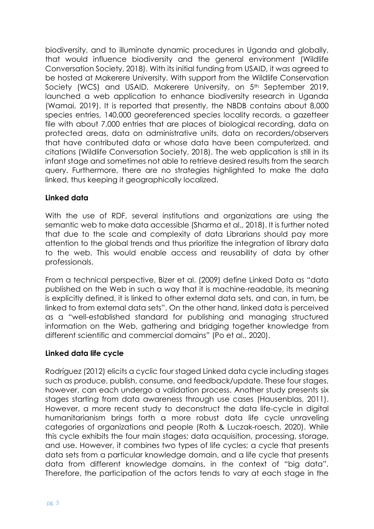biodiversity, and to illuminate dynamic procedures in Uganda and globally, that would influence biodiversity and the general environment (Wildlife Conversation Society, 2018). With its initial funding from USAID, it was agreed to be hosted at Makerere University. With support from the Wildlife Conservation Society (WCS) and USAID, Makerere University, on 5<sup>th</sup> September 2019, launched a web application to enhance biodiversity research in Uganda (Wamai, 2019). It is reported that presently, the NBDB contains about 8,000 species entries, 140,000 georeferenced species locality records, a gazetteer file with about 7,000 entries that are places of biological recording, data on protected areas, data on administrative units, data on recorders/observers that have contributed data or whose data have been computerized, and citations (Wildlife Conversation Society, 2018). The web application is still in its infant stage and sometimes not able to retrieve desired results from the search query. Furthermore, there are no strategies highlighted to make the data linked, thus keeping it geographically localized.

## **Linked data**

With the use of RDF, several institutions and organizations are using the semantic web to make data accessible (Sharma et al., 2018). It is further noted that due to the scale and complexity of data Librarians should pay more attention to the global trends and thus prioritize the integration of library data to the web. This would enable access and reusability of data by other professionals.

From a technical perspective, Bizer et al. (2009) define Linked Data as "data published on the Web in such a way that it is machine-readable, its meaning is explicitly defined, it is linked to other external data sets, and can, in turn, be linked to from external data sets". On the other hand, linked data is perceived as a "well-established standard for publishing and managing structured information on the Web, gathering and bridging together knowledge from different scientific and commercial domains" (Po et al., 2020).

#### **Linked data life cycle**

Rodríguez (2012) elicits a cyclic four staged Linked data cycle including stages such as produce, publish, consume, and feedback/update. These four stages, however, can each undergo a validation process. Another study presents six stages starting from data awareness through use cases (Hausenblas, 2011). However, a more recent study to deconstruct the data life-cycle in digital humanitarianism brings forth a more robust data life cycle unraveling categories of organizations and people (Roth & Luczak-roesch, 2020). While this cycle exhibits the four main stages; data acquisition, processing, storage, and use. However, it combines two types of life cycles; a cycle that presents data sets from a particular knowledge domain, and a life cycle that presents data from different knowledge domains, in the context of "big data". Therefore, the participation of the actors tends to vary at each stage in the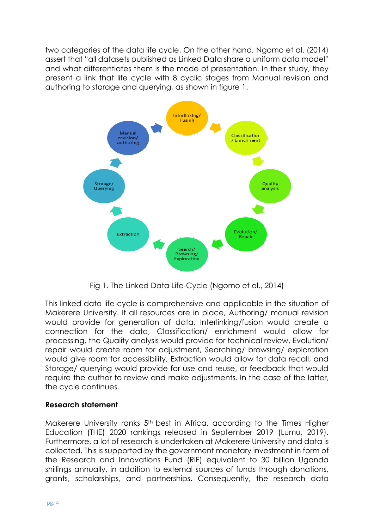two categories of the data life cycle. On the other hand, Ngomo et al. (2014) assert that "all datasets published as Linked Data share a uniform data model" and what differentiates them is the mode of presentation. In their study, they present a link that life cycle with 8 cyclic stages from Manual revision and authoring to storage and querying, as shown in figure 1.



Fig 1. The Linked Data Life-Cycle (Ngomo et al., 2014)

This linked data life-cycle is comprehensive and applicable in the situation of Makerere University. If all resources are in place, Authoring/ manual revision would provide for generation of data, Interlinking/fusion would create a connection for the data, Classification/ enrichment would allow for processing, the Quality analysis would provide for technical review, Evolution/ repair would create room for adjustment, Searching/ browsing/ exploration would give room for accessibility, Extraction would allow for data recall, and Storage/ querying would provide for use and reuse, or feedback that would require the author to review and make adjustments. In the case of the latter, the cycle continues.

## **Research statement**

Makerere University ranks 5th best in Africa, according to the Times Higher Education (THE) 2020 rankings released in September 2019 (Lumu, 2019). Furthermore, a lot of research is undertaken at Makerere University and data is collected. This is supported by the government monetary investment in form of the Research and Innovations Fund (RIF) equivalent to 30 billion Uganda shillings annually, in addition to external sources of funds through donations, grants, scholarships, and partnerships. Consequently, the research data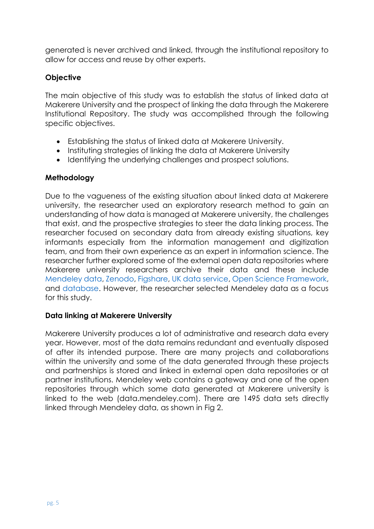generated is never archived and linked, through the institutional repository to allow for access and reuse by other experts.

## **Objective**

The main objective of this study was to establish the status of linked data at Makerere University and the prospect of linking the data through the Makerere Institutional Repository. The study was accomplished through the following specific objectives.

- Establishing the status of linked data at Makerere University.
- Instituting strategies of linking the data at Makerere University
- Identifying the underlying challenges and prospect solutions.

#### **Methodology**

Due to the vagueness of the existing situation about linked data at Makerere university, the researcher used an exploratory research method to gain an understanding of how data is managed at Makerere university, the challenges that exist, and the prospective strategies to steer the data linking process. The researcher focused on secondary data from already existing situations, key informants especially from the information management and digitization team, and from their own experience as an expert in information science. The researcher further explored some of the external open data repositories where Makerere university researchers archive their data and these include [Mendeley data,](file:///C:/Users/Admin/Desktop/Conference%20abstracts%202020/data.mendeley.com) [Zenodo,](https://www.nature.com/sdata/policies/repositories#social) [Figshare,](https://www.teamscopeapp.com/blog/6-repositories-to-share-your-research-data) [UK data service,](https://beta.ukdataservice.ac.uk/datacatalogue/studies?q=Makerere+University#!?Search=%22Makerere%20University%22&Rows=10&Sort=1&DateFrom=440&DateTo=2020&Page=1) [Open Science Framework,](https://osf.io/) and [database.](https://dataverse.harvard.edu/dataverse/harvard?q=Makerere%20University) However, the researcher selected Mendeley data as a focus for this study.

#### **Data linking at Makerere University**

Makerere University produces a lot of administrative and research data every year. However, most of the data remains redundant and eventually disposed of after its intended purpose. There are many projects and collaborations within the university and some of the data generated through these projects and partnerships is stored and linked in external open data repositories or at partner institutions. Mendeley web contains a gateway and one of the open repositories through which some data generated at Makerere university is linked to the web (data.mendeley.com). There are 1495 data sets directly linked through Mendeley data, as shown in Fig 2.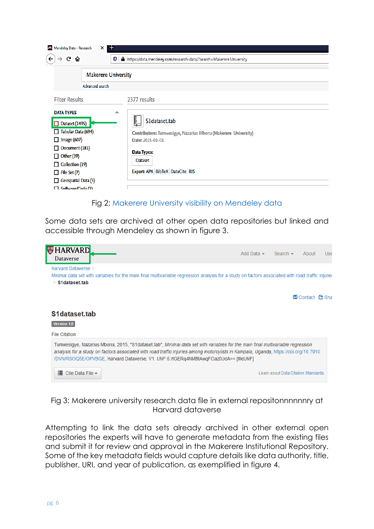| $\pm$<br>Mendeley Data - Research<br>$\times$                                                                                                                                                                                                                  |                                                                                                                                                                                      |
|----------------------------------------------------------------------------------------------------------------------------------------------------------------------------------------------------------------------------------------------------------------|--------------------------------------------------------------------------------------------------------------------------------------------------------------------------------------|
| G<br>⇧<br>O                                                                                                                                                                                                                                                    | A https://data.mendeley.com/research-data/?search=Makerere University                                                                                                                |
| <b>Makerere University</b>                                                                                                                                                                                                                                     |                                                                                                                                                                                      |
| Advanced search                                                                                                                                                                                                                                                |                                                                                                                                                                                      |
| <b>Filter Results</b>                                                                                                                                                                                                                                          | 2377 results                                                                                                                                                                         |
| <b>DATA TYPES</b><br>$\hat{\phantom{a}}$<br>Dataset (1495)<br>Tabular Data (694)<br>Image (607)<br>LΙ<br>Document (181)<br>ΙI<br>$\Box$ Other (39)<br>$\Box$ Collection (19)<br>$\Box$ File Set (7)<br>$\Box$ Geospatial Data (3)<br>$\Box$ Software (Code (3) | S1dataset.tab<br>Contributors: Tumwesigye, Nazarius Mbona (Makerere University)<br>Date: 2015-01-01<br><b>Data Types:</b><br><b>Dataset</b><br>Export: APA   BibTeX   DataCite   RIS |

## Fig 2: [Makerere University visibility on Mendeley data](https://data.mendeley.com/research-data/?search=Makerere%20university)

Some data sets are archived at other open data repositories but linked and accessible through Mendeley as shown in figure 3.



## Fig 3: Makerere university research data file in external repositonnnnnnry at Harvard dataverse

Attempting to link the data sets already archived in other external open repositories the experts will have to generate metadata from the existing files and submit it for review and approval in the Makerere Institutional Repository. Some of the key metadata fields would capture details like data authority, title, publisher, URI, and year of publication, as exemplified in figure 4.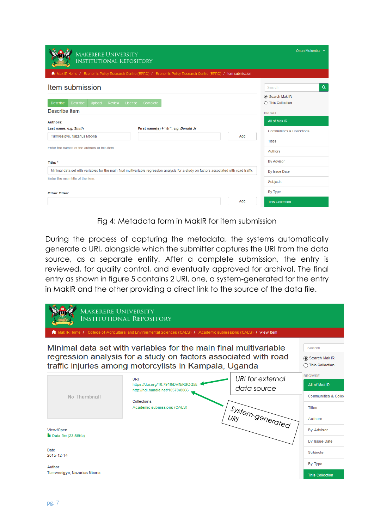| <b>MAKERERE UNIVERSITY</b><br><b>INSTITUTIONAL REPOSITORY</b>                                                                            | Onan Mulumba $\rightarrow$           |
|------------------------------------------------------------------------------------------------------------------------------------------|--------------------------------------|
| Mak IR Home / Economic Policy Research Centre (EPRC) / Economic Policy Research Centre (EPRC) / Item submission                          |                                      |
| Item submission                                                                                                                          | $\alpha$<br>Search                   |
| <b>Describe</b><br>Describe<br>Upload<br><b>Review</b><br>License<br>Complete<br>Describe Item                                           | ◉ Search Mak IR<br>◯ This Collection |
|                                                                                                                                          | <b>BROWSE</b><br>All of Mak IR       |
| Authors:<br>First name(s) + "Jr", e.g. Donald Jr<br>Last name, e.g. Smith<br>Tumwesigye, Nazarius Mbona<br>Add                           | <b>Communities &amp; Collections</b> |
|                                                                                                                                          | <b>Titles</b>                        |
| Enter the names of the authors of this item.                                                                                             | Authors                              |
| Title: *                                                                                                                                 | <b>By Advisor</b>                    |
| Minimal data set with variables for the main final multivariable regression analysis for a study on factors associated with road traffic | By Issue Date                        |
| Enter the main title of the item.                                                                                                        | Subjects                             |
| <b>Other Titles:</b>                                                                                                                     | By Type                              |
| Add                                                                                                                                      | <b>This Collection</b>               |

Fig 4: Metadata form in MakIR for item submission

During the process of capturing the metadata, the systems automatically generate a URI, alongside which the submitter captures the URI from the data source, as a separate entity. After a complete submission, the entry is reviewed, for quality control, and eventually approved for archival. The final entry as shown in figure 5 contains 2 URI, one, a system-generated for the entry in MakIR and the other providing a direct link to the source of the data file.

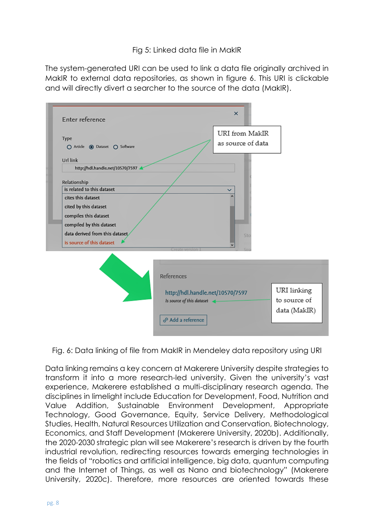## Fig 5: Linked data file in MakIR

The system-generated URI can be used to link a data file originally archived in MakIR to external data repositories, as shown in figure 6. This URI is clickable and will directly divert a searcher to the source of the data (MakIR).

| Enter reference                        |                                  | URI from MakIR    |              |
|----------------------------------------|----------------------------------|-------------------|--------------|
| Type<br>○ Article ● Dataset ○ Software |                                  | as source of data |              |
| Url link                               |                                  |                   |              |
| http://hdl.handle.net/10570/7597       |                                  |                   |              |
| Relationship                           |                                  |                   |              |
| is related to this dataset             |                                  |                   |              |
| cites this dataset                     |                                  |                   |              |
| cited by this dataset                  |                                  |                   |              |
| compiles this dataset                  |                                  |                   |              |
| compiled by this dataset               |                                  |                   |              |
| data derived from this dataset         |                                  | Sto               |              |
| is source of this dataset              |                                  |                   |              |
|                                        |                                  |                   |              |
|                                        | References                       |                   |              |
|                                        |                                  |                   |              |
|                                        | http://hdl.handle.net/10570/7597 |                   | URI linking  |
|                                        | Is source of this dataset        |                   | to source of |
|                                        |                                  |                   | data (MakIR) |
|                                        | & Add a reference                |                   |              |

Fig. 6: Data linking of file from MakIR in Mendeley data repository using URI

Data linking remains a key concern at Makerere University despite strategies to transform it into a more research-led university. Given the university's vast experience, Makerere established a multi-disciplinary research agenda. The disciplines in limelight include Education for Development, Food, Nutrition and Value Addition, Sustainable Environment Development, Appropriate Technology, Good Governance, Equity, Service Delivery, Methodological Studies, Health, Natural Resources Utilization and Conservation, Biotechnology, Economics, and Staff Development (Makerere University, 2020b). Additionally, the 2020-2030 strategic plan will see Makerere's research is driven by the fourth industrial revolution, redirecting resources towards emerging technologies in the fields of "robotics and artificial intelligence, big data, quantum computing and the Internet of Things, as well as Nano and biotechnology" (Makerere University, 2020c). Therefore, more resources are oriented towards these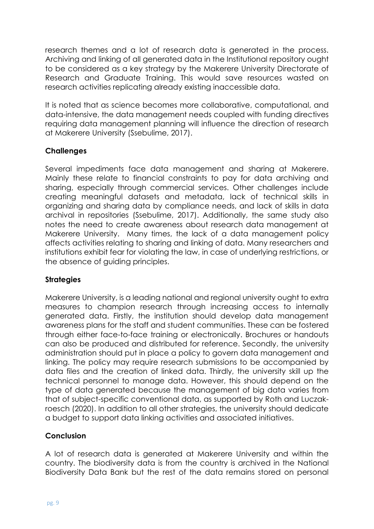research themes and a lot of research data is generated in the process. Archiving and linking of all generated data in the Institutional repository ought to be considered as a key strategy by the Makerere University Directorate of Research and Graduate Training. This would save resources wasted on research activities replicating already existing inaccessible data.

It is noted that as science becomes more collaborative, computational, and data-intensive, the data management needs coupled with funding directives requiring data management planning will influence the direction of research at Makerere University (Ssebulime, 2017).

## **Challenges**

Several impediments face data management and sharing at Makerere. Mainly these relate to financial constraints to pay for data archiving and sharing, especially through commercial services. Other challenges include creating meaningful datasets and metadata, lack of technical skills in organizing and sharing data by compliance needs, and lack of skills in data archival in repositories (Ssebulime, 2017). Additionally, the same study also notes the need to create awareness about research data management at Makerere University. Many times, the lack of a data management policy affects activities relating to sharing and linking of data. Many researchers and institutions exhibit fear for violating the law, in case of underlying restrictions, or the absence of guiding principles.

## **Strategies**

Makerere University, is a leading national and regional university ought to extra measures to champion research through increasing access to internally generated data. Firstly, the institution should develop data management awareness plans for the staff and student communities. These can be fostered through either face-to-face training or electronically. Brochures or handouts can also be produced and distributed for reference. Secondly, the university administration should put in place a policy to govern data management and linking. The policy may require research submissions to be accompanied by data files and the creation of linked data. Thirdly, the university skill up the technical personnel to manage data. However, this should depend on the type of data generated because the management of big data varies from that of subject-specific conventional data, as supported by Roth and Luczakroesch (2020). In addition to all other strategies, the university should dedicate a budget to support data linking activities and associated initiatives.

## **Conclusion**

A lot of research data is generated at Makerere University and within the country. The biodiversity data is from the country is archived in the National Biodiversity Data Bank but the rest of the data remains stored on personal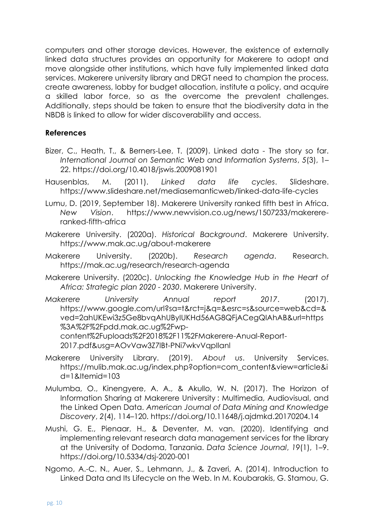computers and other storage devices. However, the existence of externally linked data structures provides an opportunity for Makerere to adopt and move alongside other institutions, which have fully implemented linked data services. Makerere university library and DRGT need to champion the process, create awareness, lobby for budget allocation, institute a policy, and acquire a skilled labor force, so as the overcome the prevalent challenges. Additionally, steps should be taken to ensure that the biodiversity data in the NBDB is linked to allow for wider discoverability and access.

#### **References**

- Bizer, C., Heath, T., & Berners-Lee, T. (2009). Linked data The story so far. *International Journal on Semantic Web and Information Systems*, *5*(3), 1– 22. https://doi.org/10.4018/jswis.2009081901
- Hausenblas, M. (2011). *Linked data life cycles*. Slideshare. https://www.slideshare.net/mediasemanticweb/linked-data-life-cycles
- Lumu, D. (2019, September 18). Makerere University ranked fifth best in Africa. *New Vision*. https://www.newvision.co.ug/news/1507233/makerereranked-fifth-africa
- Makerere University. (2020a). *Historical Background*. Makerere University. https://www.mak.ac.ug/about-makerere
- Makerere University. (2020b). *Research agenda*. Research. https://mak.ac.ug/research/research-agenda
- Makerere University. (2020c). *Unlocking the Knowledge Hub in the Heart of Africa: Strategic plan 2020 - 2030*. Makerere University.
- *Makerere University Annual report 2017*. (2017). https://www.google.com/url?sa=t&rct=j&q=&esrc=s&source=web&cd=& ved=2ahUKEwi3z5Ge8bvqAhUByIUKHd56AG8QFjACegQIAhAB&url=https %3A%2F%2Fpdd.mak.ac.ug%2Fwpcontent%2Fuploads%2F2018%2F11%2FMakerere-Anual-Report-2017.pdf&usg=AOvVaw3Z7lBt-PNi7wkvVqpIlanl
- Makerere University Library. (2019). *About us*. University Services. https://mulib.mak.ac.ug/index.php?option=com\_content&view=article&i d=1&Itemid=103
- Mulumba, O., Kinengyere, A. A., & Akullo, W. N. (2017). The Horizon of Information Sharing at Makerere University : Multimedia, Audiovisual, and the Linked Open Data. *American Journal of Data Mining and Knowledge Discovery*, *2*(4), 114–120. https://doi.org/10.11648/j.ajdmkd.20170204.14
- Mushi, G. E., Pienaar, H., & Deventer, M. van. (2020). Identifying and implementing relevant research data management services for the library at the University of Dodoma, Tanzania. *Data Science Journal*, *19*(1), 1–9. https://doi.org/10.5334/dsj-2020-001
- Ngomo, A.-C. N., Auer, S., Lehmann, J., & Zaveri, A. (2014). Introduction to Linked Data and Its Lifecycle on the Web. In M. Koubarakis, G. Stamou, G.